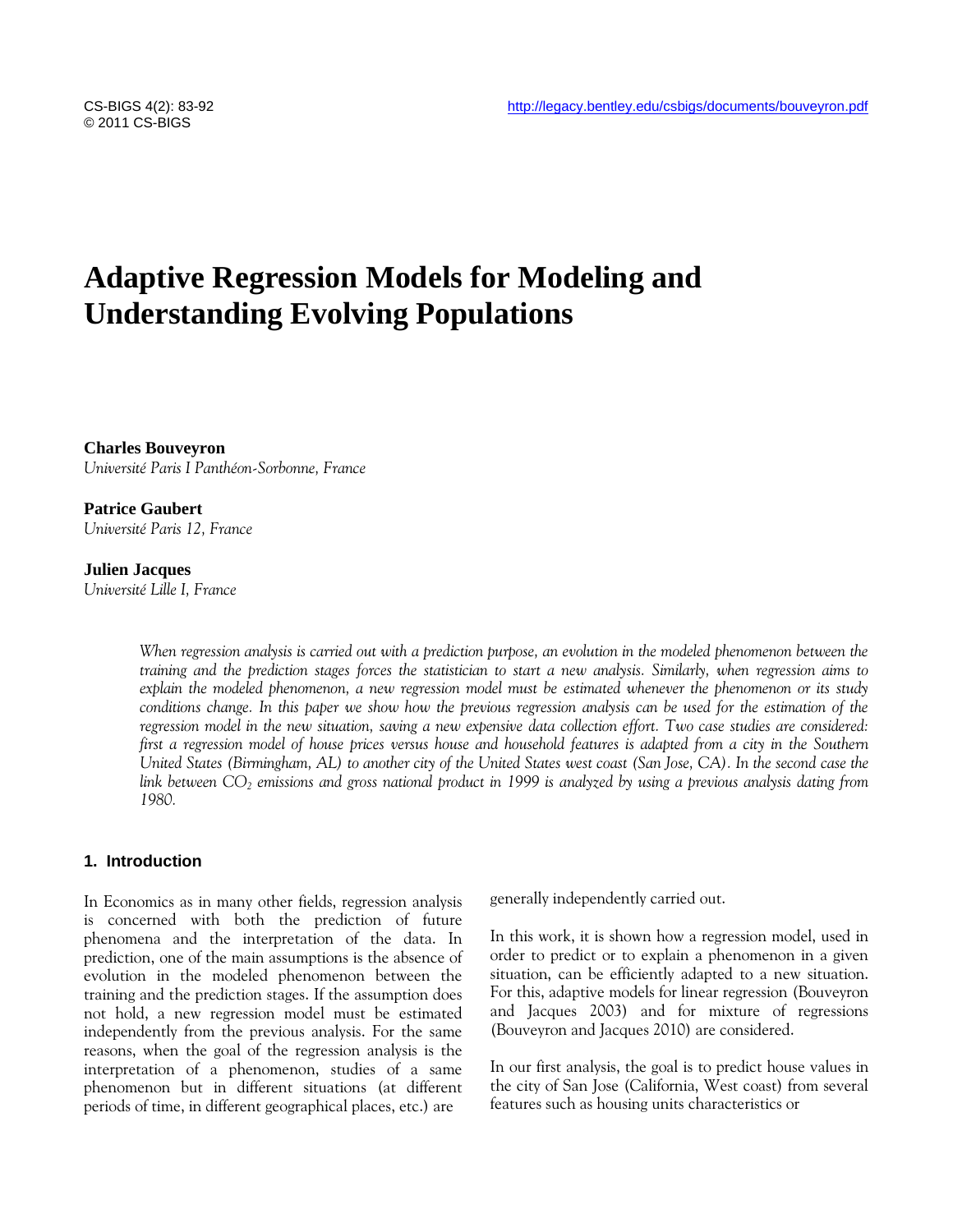# **Adaptive Regression Models for Modeling and Understanding Evolving Populations**

**Charles Bouveyron**  *Université Paris I Panthéon-Sorbonne, France*

**Patrice Gaubert**  *Université Paris 12, France*

### **Julien Jacques**

*Université Lille I, France*

*When regression analysis is carried out with a prediction purpose, an evolution in the modeled phenomenon between the training and the prediction stages forces the statistician to start a new analysis. Similarly, when regression aims to explain the modeled phenomenon, a new regression model must be estimated whenever the phenomenon or its study conditions change. In this paper we show how the previous regression analysis can be used for the estimation of the regression model in the new situation, saving a new expensive data collection effort. Two case studies are considered: first a regression model of house prices versus house and household features is adapted from a city in the Southern United States (Birmingham, AL) to another city of the United States west coast (San Jose, CA). In the second case the link between CO<sup>2</sup> emissions and gross national product in 1999 is analyzed by using a previous analysis dating from 1980.*

# **1. Introduction**

In Economics as in many other fields, regression analysis is concerned with both the prediction of future phenomena and the interpretation of the data. In prediction, one of the main assumptions is the absence of evolution in the modeled phenomenon between the training and the prediction stages. If the assumption does not hold, a new regression model must be estimated independently from the previous analysis. For the same reasons, when the goal of the regression analysis is the interpretation of a phenomenon, studies of a same phenomenon but in different situations (at different periods of time, in different geographical places, etc.) are

generally independently carried out.

In this work, it is shown how a regression model, used in order to predict or to explain a phenomenon in a given situation, can be efficiently adapted to a new situation. For this, adaptive models for linear regression (Bouveyron and Jacques 2003) and for mixture of regressions (Bouveyron and Jacques 2010) are considered.

In our first analysis, the goal is to predict house values in the city of San Jose (California, West coast) from several features such as housing units characteristics or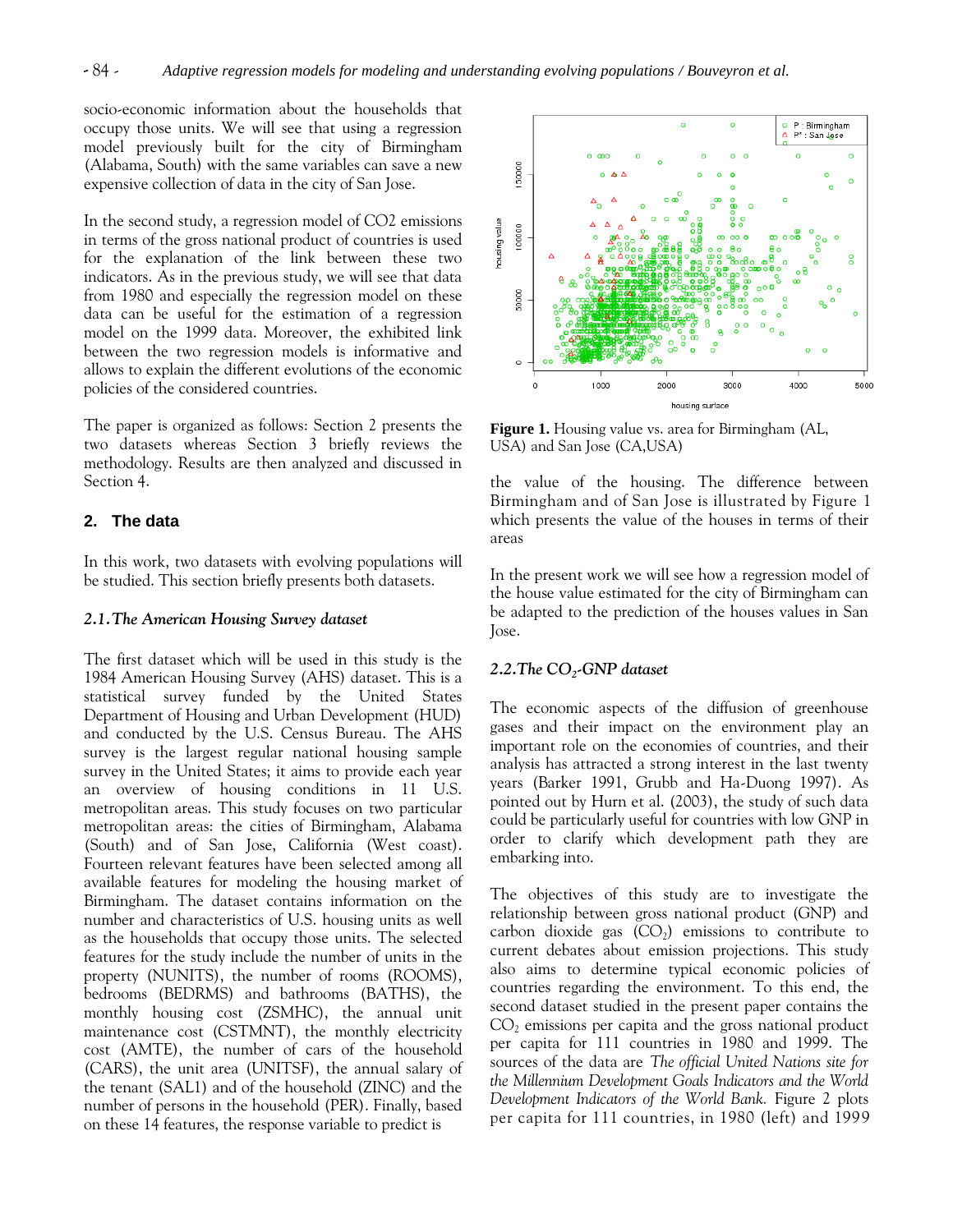socio-economic information about the households that occupy those units. We will see that using a regression model previously built for the city of Birmingham (Alabama, South) with the same variables can save a new expensive collection of data in the city of San Jose.

In the second study, a regression model of CO2 emissions in terms of the gross national product of countries is used for the explanation of the link between these two indicators. As in the previous study, we will see that data from 1980 and especially the regression model on these data can be useful for the estimation of a regression model on the 1999 data. Moreover, the exhibited link between the two regression models is informative and allows to explain the different evolutions of the economic policies of the considered countries.

The paper is organized as follows: Section 2 presents the two datasets whereas Section 3 briefly reviews the methodology. Results are then analyzed and discussed in Section 4.

# **2. The data**

In this work, two datasets with evolving populations will be studied. This section briefly presents both datasets.

## *2.1.The American Housing Survey dataset*

The first dataset which will be used in this study is the 1984 American Housing Survey (AHS) dataset. This is a statistical survey funded by the United States Department of Housing and Urban Development (HUD) and conducted by the U.S. Census Bureau. The AHS survey is the largest regular national housing sample survey in the United States; it aims to provide each year an overview of housing conditions in 11 U.S. metropolitan areas. This study focuses on two particular metropolitan areas: the cities of Birmingham, Alabama (South) and of San Jose, California (West coast). Fourteen relevant features have been selected among all available features for modeling the housing market of Birmingham. The dataset contains information on the number and characteristics of U.S. housing units as well as the households that occupy those units. The selected features for the study include the number of units in the property (NUNITS), the number of rooms (ROOMS), bedrooms (BEDRMS) and bathrooms (BATHS), the monthly housing cost (ZSMHC), the annual unit maintenance cost (CSTMNT), the monthly electricity cost (AMTE), the number of cars of the household (CARS), the unit area (UNITSF), the annual salary of the tenant (SAL1) and of the household (ZINC) and the number of persons in the household (PER). Finally, based on these 14 features, the response variable to predict is



**Figure 1.** Housing value vs. area for Birmingham (AL, USA) and San Jose (CA,USA)

the value of the housing. The difference between Birmingham and of San Jose is illustrated by Figure 1 which presents the value of the houses in terms of their areas

In the present work we will see how a regression model of the house value estimated for the city of Birmingham can be adapted to the prediction of the houses values in San Jose.

# *2.2.The CO<sup>2</sup> -GNP dataset*

The economic aspects of the diffusion of greenhouse gases and their impact on the environment play an important role on the economies of countries, and their analysis has attracted a strong interest in the last twenty years (Barker 1991, Grubb and Ha-Duong 1997). As pointed out by Hurn et al. (2003), the study of such data could be particularly useful for countries with low GNP in order to clarify which development path they are embarking into.

The objectives of this study are to investigate the relationship between gross national product (GNP) and  $\arbon$  dioxide gas  $(CO_2)$  emissions to contribute to current debates about emission projections. This study also aims to determine typical economic policies of countries regarding the environment. To this end, the second dataset studied in the present paper contains the  $CO<sub>2</sub>$  emissions per capita and the gross national product per capita for 111 countries in 1980 and 1999. The sources of the data are *The official United Nations site for the Millennium Development Goals Indicators and the World Development Indicators of the World Bank.* Figure 2 plots per capita for 111 countries, in 1980 (left) and 1999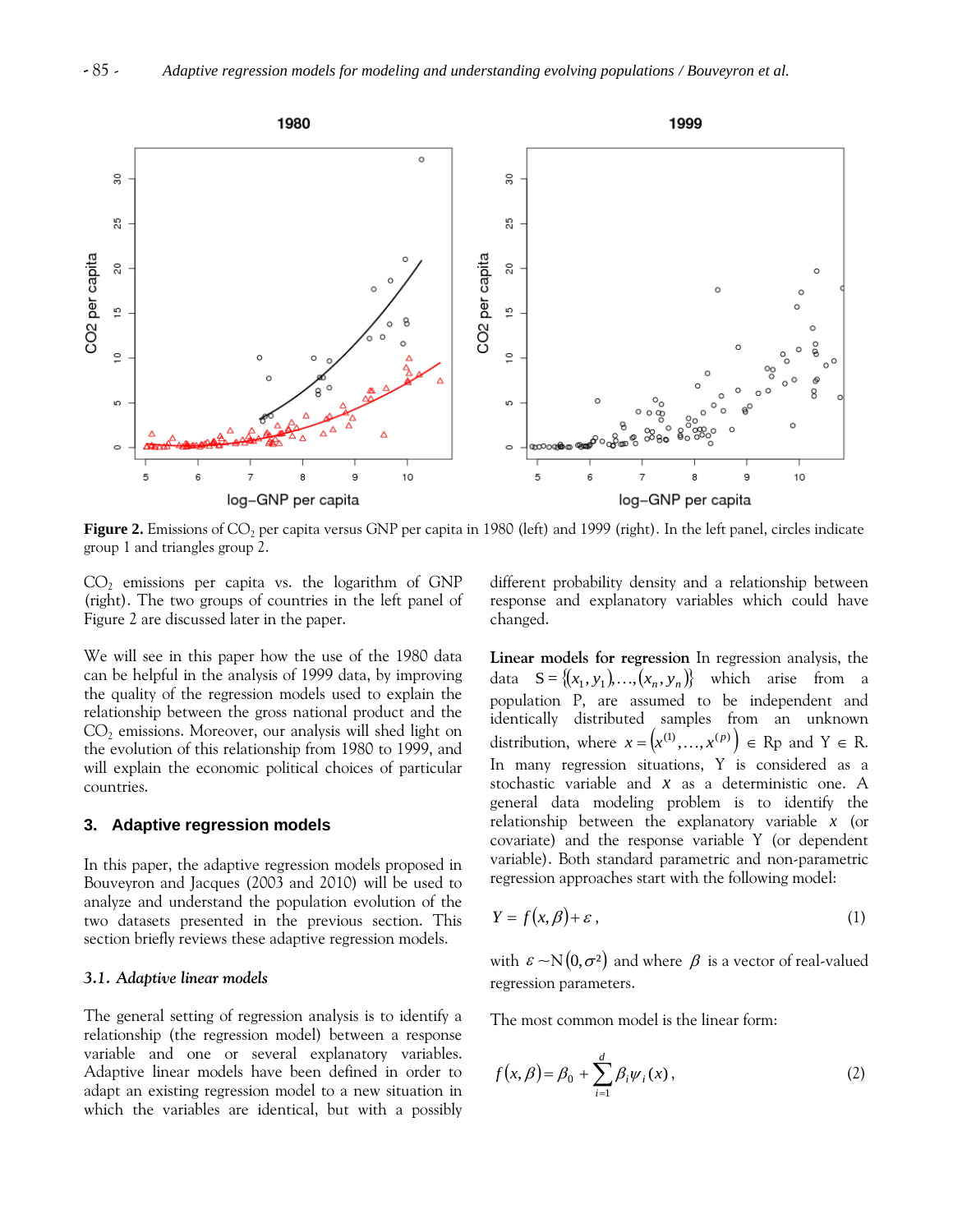

**Figure 2.** Emissions of CO<sub>2</sub> per capita versus GNP per capita in 1980 (left) and 1999 (right). In the left panel, circles indicate group 1 and triangles group 2.

 $CO<sub>2</sub>$  emissions per capita vs. the logarithm of GNP (right). The two groups of countries in the left panel of Figure 2 are discussed later in the paper.

We will see in this paper how the use of the 1980 data can be helpful in the analysis of 1999 data, by improving the quality of the regression models used to explain the relationship between the gross national product and the  $CO<sub>2</sub>$  emissions. Moreover, our analysis will shed light on the evolution of this relationship from 1980 to 1999, and will explain the economic political choices of particular countries.

#### **3. Adaptive regression models**

In this paper, the adaptive regression models proposed in Bouveyron and Jacques (2003 and 2010) will be used to analyze and understand the population evolution of the two datasets presented in the previous section. This section briefly reviews these adaptive regression models.

#### *3.1. Adaptive linear models*

The general setting of regression analysis is to identify a relationship (the regression model) between a response variable and one or several explanatory variables. Adaptive linear models have been defined in order to adapt an existing regression model to a new situation in which the variables are identical, but with a possibly different probability density and a relationship between response and explanatory variables which could have changed.

**Linear models for regression** In regression analysis, the data  $S = \{(x_1, y_1), ..., (x_n, y_n)\}$  which arise from a population P, are assumed to be independent and identically distributed samples from an unknown distribution, where  $x = (x^{(1)},...,x^{(p)}) \in \mathbb{R}$  p and  $Y \in \mathbb{R}$ . In many regression situations, Y is considered as a stochastic variable and *x* as a deterministic one. A general data modeling problem is to identify the relationship between the explanatory variable *x* (or covariate) and the response variable Y (or dependent variable). Both standard parametric and non-parametric regression approaches start with the following model:

$$
Y = f(x, \beta) + \varepsilon \,,\tag{1}
$$

with  $\,\varepsilon\!\sim\!\!\rm{N}(0,\sigma^2)\,$  and where  $\,\beta\,$  is a vector of real-valued regression parameters.

The most common model is the linear form:

$$
f(x,\beta) = \beta_0 + \sum_{i=1}^d \beta_i \psi_i(x), \qquad (2)
$$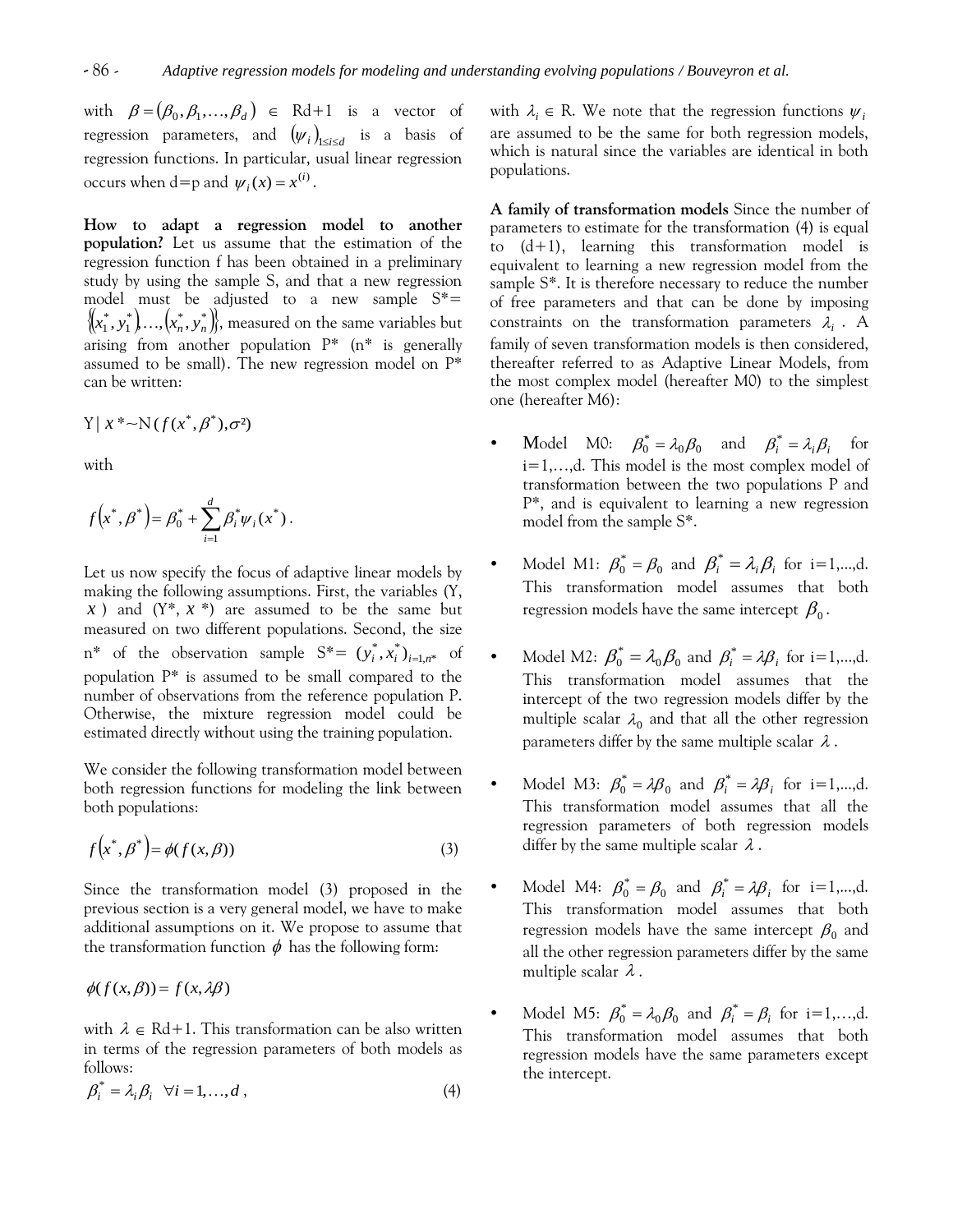with  $\beta = (\beta_0, \beta_1, ..., \beta_d) \in \text{Rd}+1$  is a vector of regression parameters, and  $(\psi_i)_{1\leq i\leq d}$  is a basis of regression functions. In particular, usual linear regression occurs when d=p and  $\psi_i(x) = x^{(i)}$ .

**How to adapt a regression model to another population?** Let us assume that the estimation of the regression function f has been obtained in a preliminary study by using the sample S, and that a new regression model must be adjusted to a new sample S\*=  $\{(x_1^*, y_1^*), ..., (x_n^*, y_n^*)\}$ , measured on the same variables but arising from another population P\* (n\* is generally assumed to be small). The new regression model on P\* can be written:

$$
Y \mid x^* \sim N(f(x^*, \beta^*), \sigma^2)
$$

with

$$
f(x^*, \beta^*) = \beta_0^* + \sum_{i=1}^d \beta_i^* \psi_i(x^*).
$$

Let us now specify the focus of adaptive linear models by making the following assumptions. First, the variables (Y, *x* ) and (Y\*, *x* \*) are assumed to be the same but measured on two different populations. Second, the size  $n^*$  of the observation sample  $S^* = (y_i^*, x_i^*)_{i=1,n^*}$  of population P\* is assumed to be small compared to the number of observations from the reference population P. Otherwise, the mixture regression model could be estimated directly without using the training population.

We consider the following transformation model between both regression functions for modeling the link between both populations:

$$
f\left(x^*, \beta^*\right) = \phi(f(x, \beta))\tag{3}
$$

Since the transformation model (3) proposed in the previous section is a very general model, we have to make additional assumptions on it. We propose to assume that the transformation function  $\phi$  has the following form:

$$
\phi(f(x,\beta)) = f(x,\lambda\beta)
$$

with  $\lambda \in \mathrm{Rd}+1$ . This transformation can be also written in terms of the regression parameters of both models as follows:

$$
\beta_i^* = \lambda_i \beta_i \quad \forall i = 1, ..., d \tag{4}
$$

with  $\lambda_i \in \mathbb{R}$ . We note that the regression functions  $\psi_i$ are assumed to be the same for both regression models, which is natural since the variables are identical in both populations.

**A family of transformation models** Since the number of parameters to estimate for the transformation (4) is equal to (d+1), learning this transformation model is equivalent to learning a new regression model from the sample S\*. It is therefore necessary to reduce the number of free parameters and that can be done by imposing constraints on the transformation parameters  $\lambda_i$ . A family of seven transformation models is then considered, thereafter referred to as Adaptive Linear Models, from the most complex model (hereafter M0) to the simplest one (hereafter M6):

- Model M0:  $\beta_0^* = \lambda_0 \beta_0$  and  $\beta_i^* = \lambda_i \beta_i$ for i=1,…,d. This model is the most complex model of transformation between the two populations P and P\*, and is equivalent to learning a new regression model from the sample S\*.
- Model M1:  $\beta_0^* = \beta_0$  and  $\beta_i^* = \lambda_i \beta_i$  for i=1,...,d. This transformation model assumes that both regression models have the same intercept  $\,\beta_0^{}$  .
- Model M2:  $\beta_0^* = \lambda_0 \beta_0$  $\beta_0^* = \lambda_0 \beta_0$  and  $\beta_i^* = \lambda \beta_i$  for i=1,...,d. This transformation model assumes that the intercept of the two regression models differ by the multiple scalar  $\lambda_0$  and that all the other regression parameters differ by the same multiple scalar  $\,\lambda$  .
- Model M3:  $\beta_0^* = \lambda \beta_0$  and  $\beta_i^* = \lambda \beta_i$  for i=1,...,d. This transformation model assumes that all the regression parameters of both regression models differ by the same multiple scalar  $\lambda$  .
- Model M4:  $\beta_0^* = \beta_0$  and  $\beta_i^* = \lambda \beta_i$  for i=1,...,d. This transformation model assumes that both regression models have the same intercept  $\beta_0$  and all the other regression parameters differ by the same multiple scalar  $\lambda$  .
- Model M5:  $\beta_0^* = \lambda_0 \beta_0$  and  $\beta_i^* = \beta_i$  for i=1,...,d. This transformation model assumes that both regression models have the same parameters except the intercept.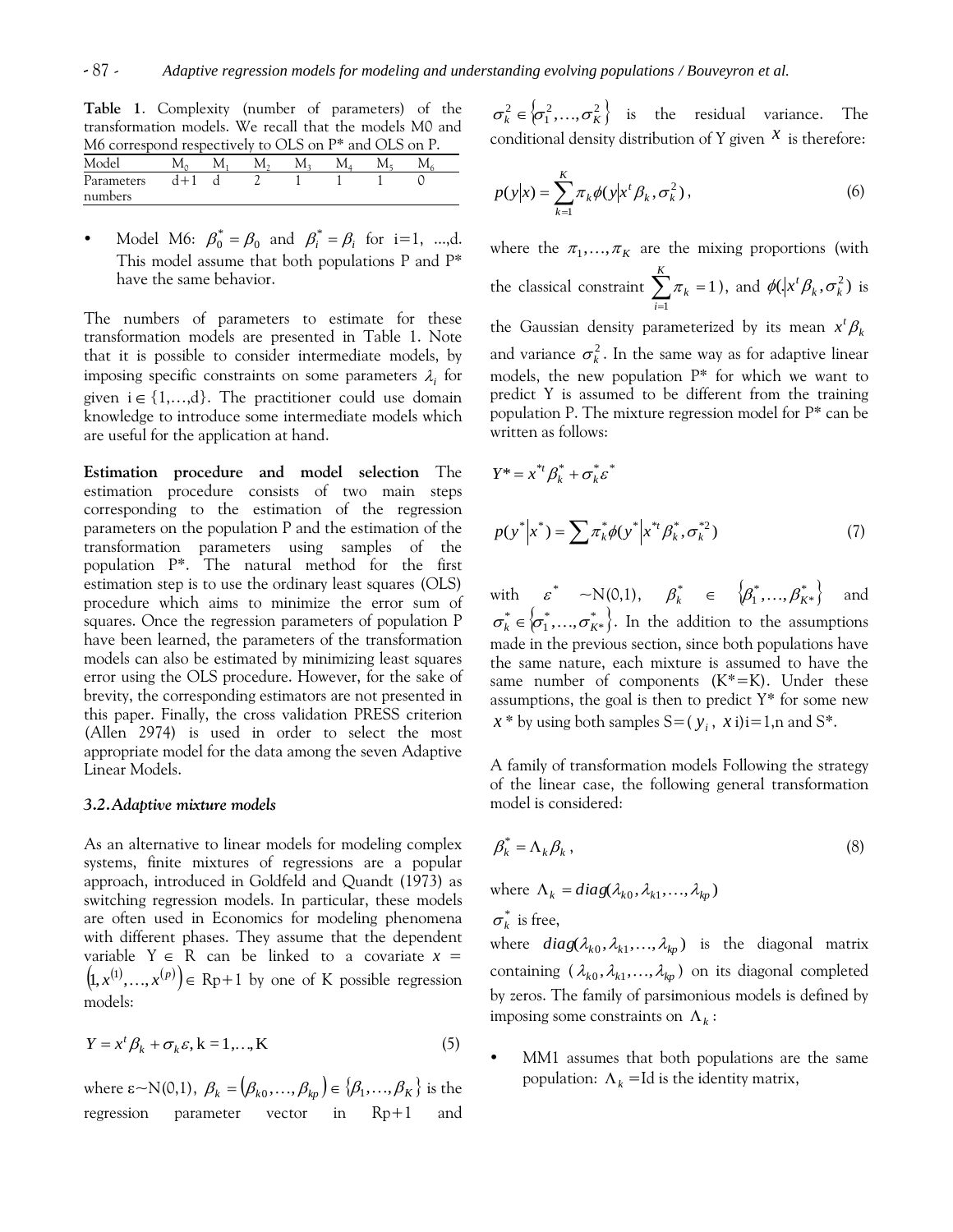**Table 1**. Complexity (number of parameters) of the transformation models. We recall that the models M0 and M6 correspond respectively to OLS on P\* and OLS on P.

| $\mu$ correspond respectively to $\sigma$ be on F and $\sigma$ be on F. |  |  |  |  |
|-------------------------------------------------------------------------|--|--|--|--|
| Model                                                                   |  |  |  |  |
| Parameters<br>numbers                                                   |  |  |  |  |

• Model M6:  $\beta_0^* = \beta_0$  and  $\beta_i^* = \beta_i$  for i=1, ...,d. This model assume that both populations P and P\* have the same behavior.

The numbers of parameters to estimate for these transformation models are presented in Table 1. Note that it is possible to consider intermediate models, by imposing specific constraints on some parameters  $\lambda_i$  for given  $i \in \{1, \ldots, d\}$ . The practitioner could use domain knowledge to introduce some intermediate models which are useful for the application at hand.

**Estimation procedure and model selection** The estimation procedure consists of two main steps corresponding to the estimation of the regression parameters on the population P and the estimation of the transformation parameters using samples of the population P\*. The natural method for the first estimation step is to use the ordinary least squares (OLS) procedure which aims to minimize the error sum of squares. Once the regression parameters of population P have been learned, the parameters of the transformation models can also be estimated by minimizing least squares error using the OLS procedure. However, for the sake of brevity, the corresponding estimators are not presented in this paper. Finally, the cross validation PRESS criterion (Allen 2974) is used in order to select the most appropriate model for the data among the seven Adaptive Linear Models.

#### *3.2.Adaptive mixture models*

As an alternative to linear models for modeling complex systems, finite mixtures of regressions are a popular approach, introduced in Goldfeld and Quandt (1973) as switching regression models. In particular, these models are often used in Economics for modeling phenomena with different phases. They assume that the dependent variable  $Y \in R$  can be linked to a covariate  $x =$  $(p(x, x^{(1)}, \ldots, x^{(p)}) \in \mathbb{R}p+1$  by one of K possible regression models:

$$
Y = xt \betak + \sigmak \varepsilon, k = 1,..., K
$$
 (5)

where  $\varepsilon$ ~N(0,1),  $\beta_k = (\beta_{k0}, ..., \beta_{kp}) \in \{\beta_1, ..., \beta_K\}$  is the regression parameter vector in Rp+1 and

 $\sigma_k^2 \in \{\sigma_1^2,...,\sigma_K^2\}$  is the residual variance. The conditional density distribution of Y given  $\mathcal X$  is therefore:

$$
p(y|x) = \sum_{k=1}^{K} \pi_k \phi(y|x^t \beta_k, \sigma_k^2), \qquad (6)
$$

where the  $\pi_1, ..., \pi_K$  are the mixing proportions (with the classical constraint  $\sum_{i=1} \pi_k =$ *K i k* 1  $\pi_k = 1$ ), and  $\phi(\cdot|x^t \beta_k, \sigma_k^2)$  is the Gaussian density parameterized by its mean  $x^t \beta_k$ and variance  $\sigma_k^2$ . In the same way as for adaptive linear models, the new population P\* for which we want to predict Y is assumed to be different from the training population P. The mixture regression model for P\* can be written as follows:

$$
Y^* = x^{*t} \beta_k^* + \sigma_k^* \varepsilon^*
$$
  
\n
$$
p(y^* | x^*) = \sum \pi_k^* \phi(y^* | x^{*t} \beta_k^*, \sigma_k^{*2})
$$
 (7)

with  $\varepsilon^* \sim N(0,1), \quad \beta_k^* \in \{\beta_1^*, ..., \beta_{K^*}^*\}$ and  $\sigma_k^* \in \{\sigma_1^*, \ldots, \sigma_{K^*}^*\}$ . In the addition to the assumptions made in the previous section, since both populations have the same nature, each mixture is assumed to have the same number of components  $(K^* = K)$ . Under these assumptions, the goal is then to predict  $Y^*$  for some new  $x *$  by using both samples S=( $y_i$ ,  $\dot{x}$  i)i=1,n and S\*.

A family of transformation models Following the strategy of the linear case, the following general transformation model is considered:

$$
\beta_k^* = \Lambda_k \beta_k \,, \tag{8}
$$

where  $\Lambda_k = diag(\lambda_{k0}, \lambda_{k1}, \dots, \lambda_{kp})$ 

 $\sigma_k^*$  is free,

where  $diag(\lambda_{k0}, \lambda_{k1}, \ldots, \lambda_{kp})$  is the diagonal matrix containing  $(\lambda_{k0}, \lambda_{k1}, ..., \lambda_{kp})$  on its diagonal completed by zeros. The family of parsimonious models is defined by imposing some constraints on  $\Lambda_k$ :

 MM1 assumes that both populations are the same population:  $\Lambda_k = \text{Id}$  is the identity matrix,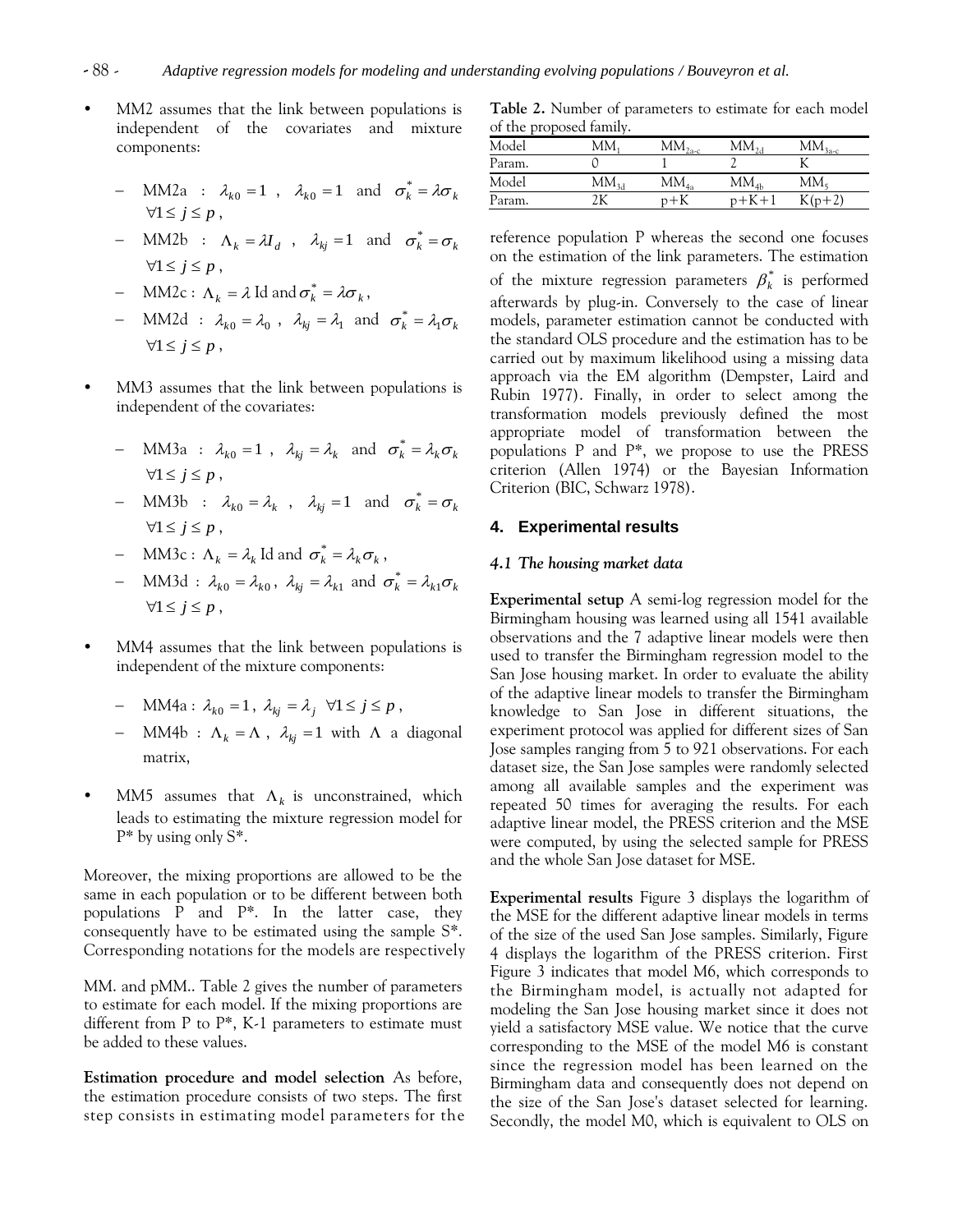- MM2 assumes that the link between populations is independent of the covariates and mixture components:
	- MM2a :  $\lambda_{k0} = 1$ ,  $\lambda_{k0} = 1$  and  $\sigma_k^* = \lambda \sigma_k$  $\forall 1 \leq j \leq p$ ,
	- MM2b :  $\Lambda_k = \lambda I_d$ ,  $\lambda_{kj} = 1$  and  $\sigma_k^* = \sigma_k$  $\forall 1 \leq j \leq p$ ,
	- MM2c :  $\Lambda_k = \lambda \operatorname{Id}$  and  $\sigma_k^* = \lambda \sigma_k$ ,
	- MM2d :  $\lambda_{k0} = \lambda_0$ ,  $\lambda_{kj} = \lambda_1$  and  $\sigma_k^* = \lambda_1 \sigma_k$  $\forall 1 \leq j \leq p$ ,
- MM3 assumes that the link between populations is independent of the covariates:
	- MM3a :  $\lambda_{k0} = 1$ ,  $\lambda_{kj} = \lambda_k$  and  $\sigma_k^* = \lambda_k \sigma_k$  $\forall 1 \leq i \leq p$ .
	- MM3b :  $\lambda_{k0} = \lambda_k$ ,  $\lambda_{kj} = 1$  and  $\sigma_k^* = \sigma_k$  $\forall 1 \leq j \leq p$ ,
	- MM3c :  $\Lambda_k = \lambda_k$  Id and  $\sigma_k^* = \lambda_k \sigma_k$ ,
	- MM3d :  $\lambda_{k0} = \lambda_{k0}$ ,  $\lambda_{kj} = \lambda_{k1}$  and  $\sigma_k^* = \lambda_{k1} \sigma_k$  $\forall 1 \leq j \leq p$ ,
- MM4 assumes that the link between populations is independent of the mixture components:
	- $-MM4a: \lambda_{k0} = 1, \lambda_{kj} = \lambda_j \quad \forall 1 \le j \le p$ ,
	- MM4b :  $\Lambda_k = \Lambda$ ,  $\lambda_{kj} = 1$  with  $\Lambda$  a diagonal matrix,
- MM5 assumes that  $\Lambda_k$  is unconstrained, which leads to estimating the mixture regression model for P\* by using only S\*.

Moreover, the mixing proportions are allowed to be the same in each population or to be different between both populations P and P\*. In the latter case, they consequently have to be estimated using the sample S\*. Corresponding notations for the models are respectively

MM. and pMM.. Table 2 gives the number of parameters to estimate for each model. If the mixing proportions are different from P to  $P^*$ , K-1 parameters to estimate must be added to these values.

**Estimation procedure and model selection** As before, the estimation procedure consists of two steps. The first step consists in estimating model parameters for the

**Table 2.** Number of parameters to estimate for each model of the proposed family.

| Model  | MM.  | $\rm{MM}_{2a\text{-}c}$ | $MM_{2d}$ | $M\underline{M}_{3a-c}$ |
|--------|------|-------------------------|-----------|-------------------------|
| Param. |      |                         |           |                         |
| Model  | MM34 | $MM_{4a}$               | $MM_{4h}$ | $MM_{5}$                |
| Param. |      | $+K$                    | $p+K+1$   | $K(p+2)$                |

reference population P whereas the second one focuses on the estimation of the link parameters. The estimation of the mixture regression parameters  $\beta^*_k$  is performed afterwards by plug-in. Conversely to the case of linear models, parameter estimation cannot be conducted with the standard OLS procedure and the estimation has to be carried out by maximum likelihood using a missing data approach via the EM algorithm (Dempster, Laird and Rubin 1977). Finally, in order to select among the transformation models previously defined the most appropriate model of transformation between the populations P and P\*, we propose to use the PRESS criterion (Allen 1974) or the Bayesian Information Criterion (BIC, Schwarz 1978).

#### **4. Experimental results**

### *4.1 The housing market data*

**Experimental setup** A semi-log regression model for the Birmingham housing was learned using all 1541 available observations and the 7 adaptive linear models were then used to transfer the Birmingham regression model to the San Jose housing market. In order to evaluate the ability of the adaptive linear models to transfer the Birmingham knowledge to San Jose in different situations, the experiment protocol was applied for different sizes of San Jose samples ranging from 5 to 921 observations. For each dataset size, the San Jose samples were randomly selected among all available samples and the experiment was repeated 50 times for averaging the results. For each adaptive linear model, the PRESS criterion and the MSE were computed, by using the selected sample for PRESS and the whole San Jose dataset for MSE.

**Experimental results** Figure 3 displays the logarithm of the MSE for the different adaptive linear models in terms of the size of the used San Jose samples. Similarly, Figure 4 displays the logarithm of the PRESS criterion. First Figure 3 indicates that model M6, which corresponds to the Birmingham model, is actually not adapted for modeling the San Jose housing market since it does not yield a satisfactory MSE value. We notice that the curve corresponding to the MSE of the model M6 is constant since the regression model has been learned on the Birmingham data and consequently does not depend on the size of the San Jose's dataset selected for learning. Secondly, the model M0, which is equivalent to OLS on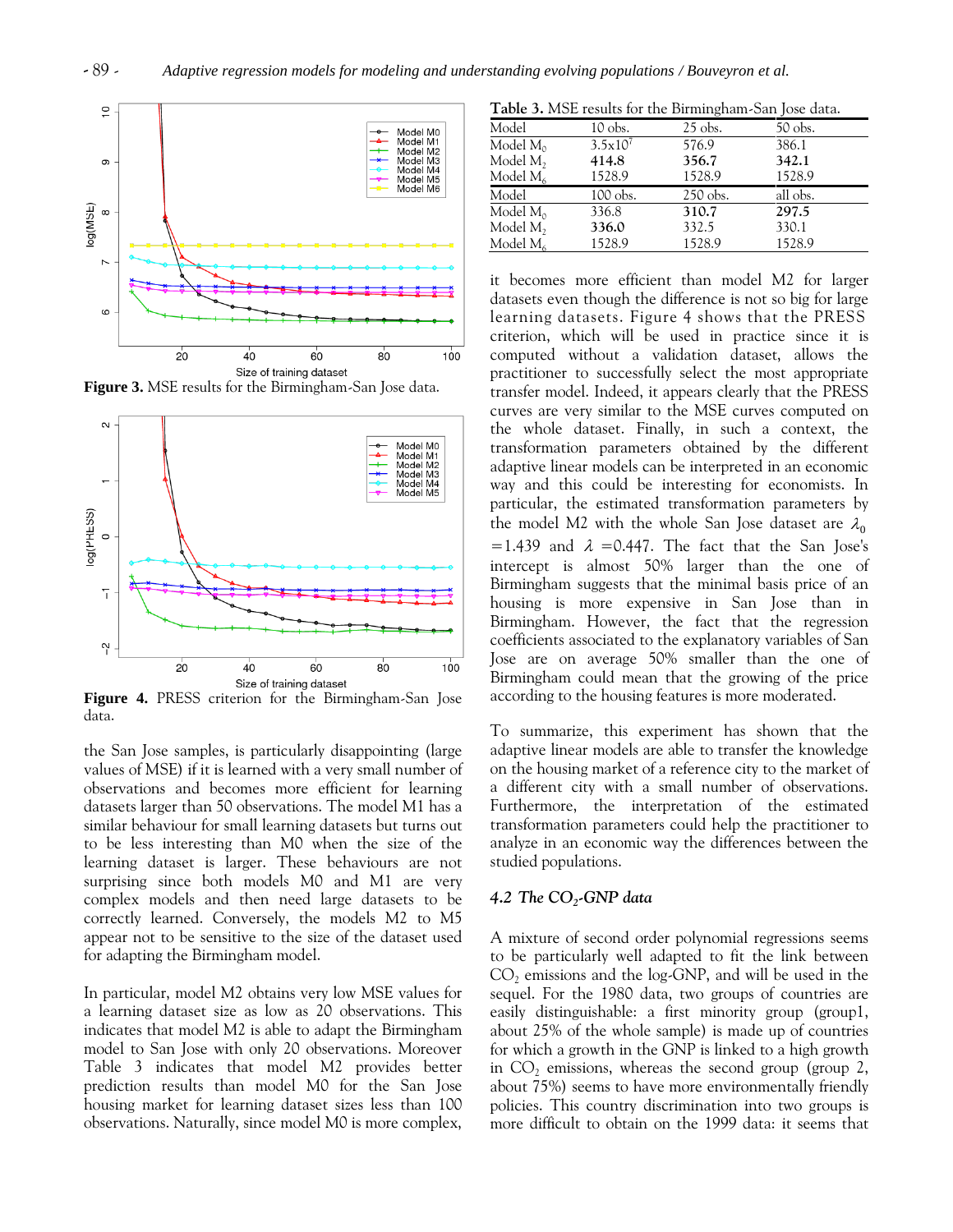

**Figure 3.** MSE results for the Birmingham-San Jose data.



**Figure 4.** PRESS criterion for the Birmingham-San Jose data.

the San Jose samples, is particularly disappointing (large values of MSE) if it is learned with a very small number of observations and becomes more efficient for learning datasets larger than 50 observations. The model M1 has a similar behaviour for small learning datasets but turns out to be less interesting than M0 when the size of the learning dataset is larger. These behaviours are not surprising since both models M0 and M1 are very complex models and then need large datasets to be correctly learned. Conversely, the models M2 to M5 appear not to be sensitive to the size of the dataset used for adapting the Birmingham model.

In particular, model M2 obtains very low MSE values for a learning dataset size as low as 20 observations. This indicates that model M2 is able to adapt the Birmingham model to San Jose with only 20 observations. Moreover Table 3 indicates that model M2 provides better prediction results than model M0 for the San Jose housing market for learning dataset sizes less than 100 observations. Naturally, since model M0 is more complex,

**Table 3.** MSE results for the Birmingham-San Jose data.

| Model         | 10 obs.      | $25$ obs.  | 50 obs.  |  |
|---------------|--------------|------------|----------|--|
| Model $M_0$   | $3.5x10^{7}$ | 576.9      | 386.1    |  |
| Model $M_2$   | 414.8        | 356.7      | 342.1    |  |
| Model $M_{6}$ | 1528.9       | 1528.9     | 1528.9   |  |
| Model         | 100 obs.     | $250$ obs. | all obs. |  |
| Model $M_0$   | 336.8        | 310.7      | 297.5    |  |
| Model $M_2$   | 336.0        | 332.5      | 330.1    |  |
| Model $M_6$   | 1528.9       | 1528.9     | 1528.9   |  |

it becomes more efficient than model M2 for larger datasets even though the difference is not so big for large learning datasets. Figure 4 shows that the PRESS criterion, which will be used in practice since it is computed without a validation dataset, allows the practitioner to successfully select the most appropriate transfer model. Indeed, it appears clearly that the PRESS curves are very similar to the MSE curves computed on the whole dataset. Finally, in such a context, the transformation parameters obtained by the different adaptive linear models can be interpreted in an economic way and this could be interesting for economists. In particular, the estimated transformation parameters by the model M2 with the whole San Jose dataset are  $\lambda_0$ =1.439 and  $\lambda$  =0.447. The fact that the San Jose's intercept is almost 50% larger than the one of Birmingham suggests that the minimal basis price of an housing is more expensive in San Jose than in Birmingham. However, the fact that the regression coefficients associated to the explanatory variables of San Jose are on average 50% smaller than the one of Birmingham could mean that the growing of the price according to the housing features is more moderated.

To summarize, this experiment has shown that the adaptive linear models are able to transfer the knowledge on the housing market of a reference city to the market of a different city with a small number of observations. Furthermore, the interpretation of the estimated transformation parameters could help the practitioner to analyze in an economic way the differences between the studied populations.

# *4.2 The CO<sup>2</sup> -GNP data*

A mixture of second order polynomial regressions seems to be particularly well adapted to fit the link between  $CO<sub>2</sub>$  emissions and the log-GNP, and will be used in the sequel. For the 1980 data, two groups of countries are easily distinguishable: a first minority group (group1, about 25% of the whole sample) is made up of countries for which a growth in the GNP is linked to a high growth in  $CO<sub>2</sub>$  emissions, whereas the second group (group 2, about 75%) seems to have more environmentally friendly policies. This country discrimination into two groups is more difficult to obtain on the 1999 data: it seems that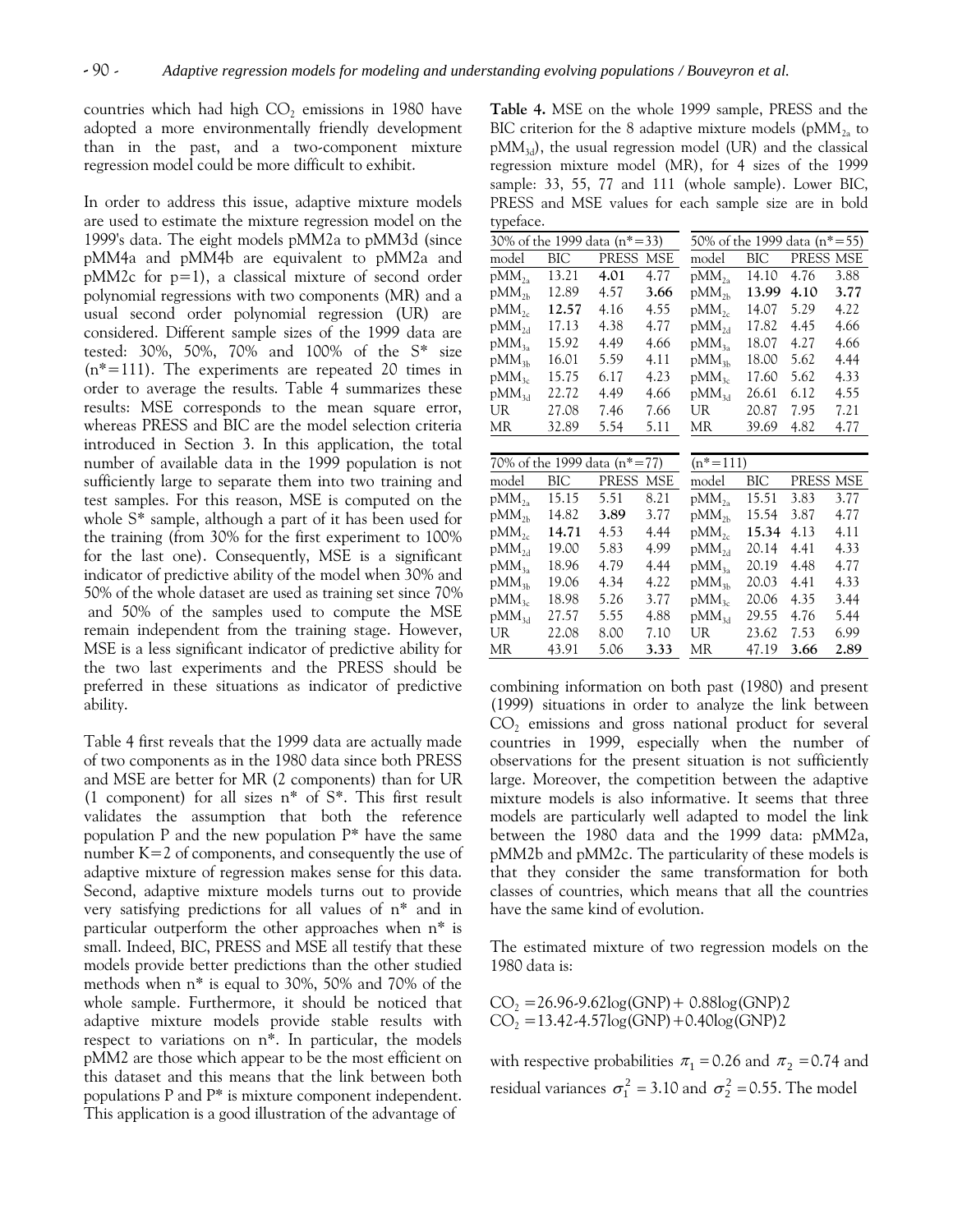countries which had high  $CO<sub>2</sub>$  emissions in 1980 have adopted a more environmentally friendly development than in the past, and a two-component mixture regression model could be more difficult to exhibit.

In order to address this issue, adaptive mixture models are used to estimate the mixture regression model on the 1999's data. The eight models pMM2a to pMM3d (since pMM4a and pMM4b are equivalent to pMM2a and pMM2c for p=1), a classical mixture of second order polynomial regressions with two components (MR) and a usual second order polynomial regression (UR) are considered. Different sample sizes of the 1999 data are tested: 30%, 50%, 70% and 100% of the S\* size  $(n^*=111)$ . The experiments are repeated 20 times in order to average the results. Table 4 summarizes these results: MSE corresponds to the mean square error, whereas PRESS and BIC are the model selection criteria introduced in Section 3. In this application, the total number of available data in the 1999 population is not sufficiently large to separate them into two training and test samples. For this reason, MSE is computed on the whole S\* sample, although a part of it has been used for the training (from 30% for the first experiment to 100% for the last one). Consequently, MSE is a significant indicator of predictive ability of the model when 30% and 50% of the whole dataset are used as training set since 70% and 50% of the samples used to compute the MSE remain independent from the training stage. However, MSE is a less significant indicator of predictive ability for the two last experiments and the PRESS should be preferred in these situations as indicator of predictive ability.

Table 4 first reveals that the 1999 data are actually made of two components as in the 1980 data since both PRESS and MSE are better for MR (2 components) than for UR (1 component) for all sizes n\* of S\*. This first result validates the assumption that both the reference population P and the new population  $P^*$  have the same number  $K=2$  of components, and consequently the use of adaptive mixture of regression makes sense for this data. Second, adaptive mixture models turns out to provide very satisfying predictions for all values of n\* and in particular outperform the other approaches when n\* is small. Indeed, BIC, PRESS and MSE all testify that these models provide better predictions than the other studied methods when n\* is equal to 30%, 50% and 70% of the whole sample. Furthermore, it should be noticed that adaptive mixture models provide stable results with respect to variations on n\*. In particular, the models pMM2 are those which appear to be the most efficient on this dataset and this means that the link between both populations P and P\* is mixture component independent. This application is a good illustration of the advantage of

**Table 4.** MSE on the whole 1999 sample, PRESS and the BIC criterion for the 8 adaptive mixture models ( $pMM_{2a}$  to  $pMM_{3d}$ , the usual regression model (UR) and the classical regression mixture model (MR), for 4 sizes of the 1999 sample: 33, 55, 77 and 111 (whole sample). Lower BIC, PRESS and MSE values for each sample size are in bold typeface.

| 30% of the 1999 data $(n*=33)$ |       |       |      | 50% of the 1999 data $(n*=55)$ |       |           |      |  |
|--------------------------------|-------|-------|------|--------------------------------|-------|-----------|------|--|
| model                          | BIC   | PRESS | MSE  | model                          | BIC   | PRESS MSE |      |  |
| $pMM_{2a}$                     | 13.21 | 4.01  | 4.77 | $pMM_{2a}$                     | 14.10 | 4.76      | 3.88 |  |
| $pMM_{2h}$                     | 12.89 | 4.57  | 3.66 | $pMM_{2h}$                     | 13.99 | 4.10      | 3.77 |  |
| $pMM_{2c}$                     | 12.57 | 4.16  | 4.55 | $pMM_{2c}$                     | 14.07 | 5.29      | 4.22 |  |
| $pMM_{2d}$                     | 17.13 | 4.38  | 4.77 | $pMM_{2d}$                     | 17.82 | 4.45      | 4.66 |  |
| $pMM_{3a}$                     | 15.92 | 4.49  | 4.66 | $pMM_{3a}$                     | 18.07 | 4.27      | 4.66 |  |
| $pMM_{3h}$                     | 16.01 | 5.59  | 4.11 | $pMM_{3h}$                     | 18.00 | 5.62      | 4.44 |  |
| $pMM_{3c}$                     | 15.75 | 6.17  | 4.23 | $pMM_{3c}$                     | 17.60 | 5.62      | 4.33 |  |
| $pMM_{3d}$                     | 22.72 | 4.49  | 4.66 | $pMM_{3d}$                     | 26.61 | 6.12      | 4.55 |  |
| UR                             | 27.08 | 7.46  | 7.66 | UR-                            | 20.87 | 7.95      | 7.21 |  |
| МR                             | 32.89 | 5.54  | 5.11 | МR                             | 39.69 | 4.82      | 4.77 |  |
|                                |       |       |      |                                |       |           |      |  |
| 70% of the 1999 data $(n*=77)$ |       |       |      | $(n^* = 111)$                  |       |           |      |  |
| model                          | BIC   | PRESS | MSE  | model                          | BIC   | PRESS MSE |      |  |
| $pMM_{2a}$                     | 15.15 | 5.51  | 8.21 | $pMM_{2a}$                     | 15.51 | 3.83      | 3.77 |  |
| $pMM_{2h}$                     | 14.82 | 3.89  | 3.77 | $pMM_{2h}$                     | 15.54 | 3.87      | 4.77 |  |
| $n$ M $M_{\odot}$              | 14.71 | 453   | 4 44 | nMM <sub>2</sub>               | 15.34 | 4 1 3     | 411  |  |

| $pMM_{2a}$        | 15.15 | 5.51 | 8.21 | $pMM_{2a}$ | 15.51 | 3.83 | 3.77 |
|-------------------|-------|------|------|------------|-------|------|------|
| p $\rm MM_{2h}$   | 14.82 | 3.89 | 3.77 | $pMM_{2h}$ | 15.54 | 3.87 | 4.77 |
| $pMM_{2c}$        | 14.71 | 4.53 | 4.44 | $pMM_{2c}$ | 15.34 | 4.13 | 4.11 |
| $pMM_{2d}$        | 19.00 | 5.83 | 4.99 | $pMM_{2d}$ | 20.14 | 4.41 | 4.33 |
| $pMM_{3a}$        | 18.96 | 4.79 | 4.44 | $pMM_{3a}$ | 20.19 | 4.48 | 4.77 |
| pMM <sub>3h</sub> | 19.06 | 4.34 | 4.22 | $pMM_{3h}$ | 20.03 | 4.41 | 4.33 |
| $pMM_{3c}$        | 18.98 | 5.26 | 3.77 | $pMM_{3c}$ | 20.06 | 4.35 | 3.44 |
| pMM <sub>3d</sub> | 27.57 | 5.55 | 4.88 | $pMM_{3d}$ | 29.55 | 4.76 | 5.44 |
| UR                | 22.08 | 8.00 | 7.10 | UR         | 23.62 | 7.53 | 6.99 |
| MR .              | 43.91 | 5.06 | 3.33 | MR.        | 47.19 | 3.66 | 2.89 |
|                   |       |      |      |            |       |      |      |

combining information on both past (1980) and present (1999) situations in order to analyze the link between  $CO<sub>2</sub>$  emissions and gross national product for several countries in 1999, especially when the number of observations for the present situation is not sufficiently large. Moreover, the competition between the adaptive mixture models is also informative. It seems that three models are particularly well adapted to model the link between the 1980 data and the 1999 data: pMM2a, pMM2b and pMM2c. The particularity of these models is that they consider the same transformation for both classes of countries, which means that all the countries have the same kind of evolution.

The estimated mixture of two regression models on the 1980 data is:

 $CO_2 = 26.96 - 9.62 \log(GNP) + 0.88 \log(GNP)$  $CO_2 = 13.42 - 4.57 \log(GNP) + 0.40 \log(GNP)$ 

with respective probabilities  $\pi_1 = 0.26$  and  $\pi_2 = 0.74$  and residual variances  $\sigma_1^2 = 3.10$  and  $\sigma_2^2 = 0.55$ . The model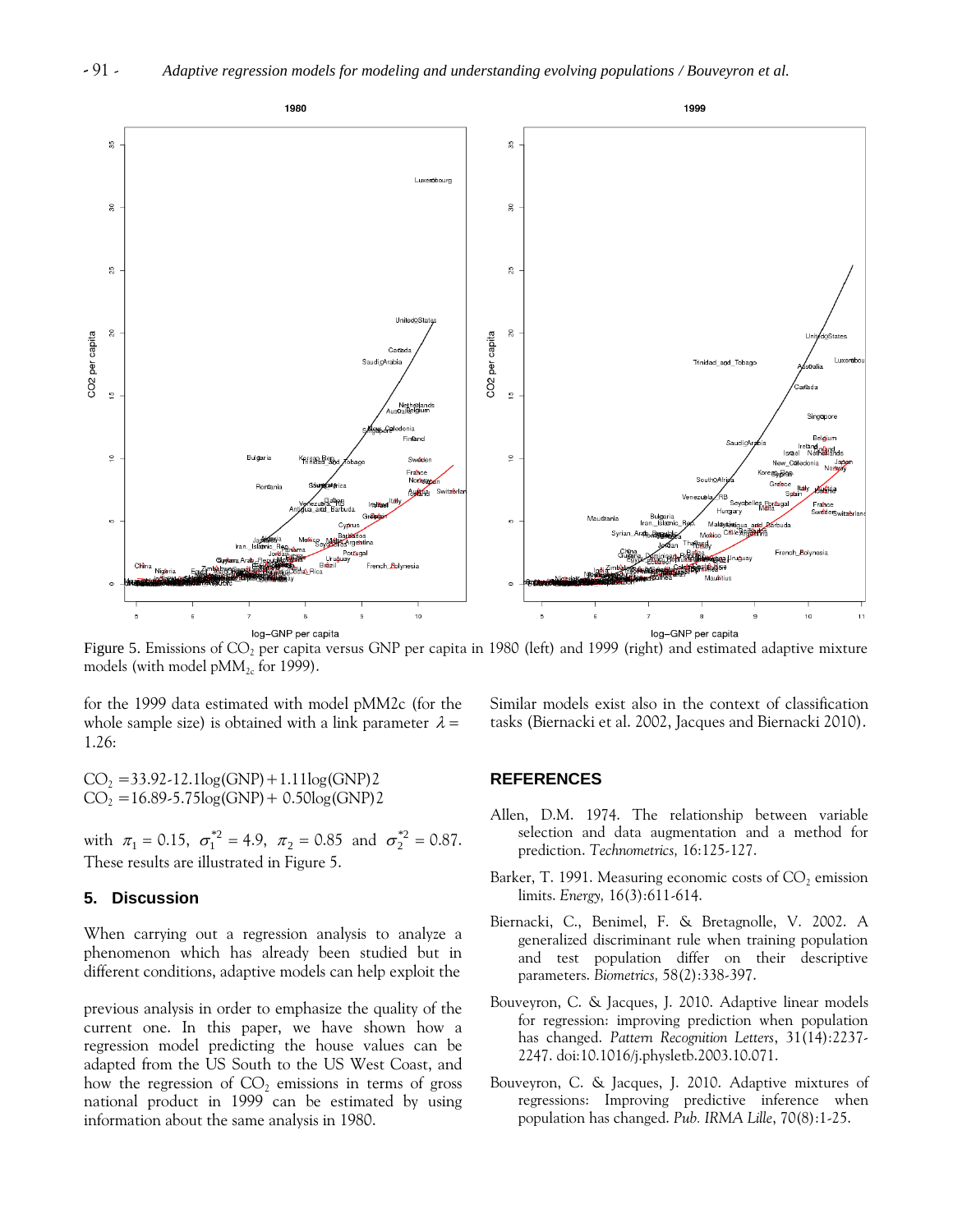

Figure 5. Emissions of  $CO<sub>2</sub>$  per capita versus GNP per capita in 1980 (left) and 1999 (right) and estimated adaptive mixture models (with model  $pMM_{2c}$  for 1999).

for the 1999 data estimated with model pMM2c (for the whole sample size) is obtained with a link parameter  $\lambda =$ 1.26:

 $CO_2 = 33.92 - 12.1 \log(GNP) + 1.11 \log(GNP)$  $CO_2 = 16.89 - 5.75 \log(GNP) + 0.50 \log(GNP)$ 

with  $\pi_1 = 0.15$ ,  $\sigma_1^{*2} = 4.9$ ,  $\pi_2 = 0.85$  and  $\sigma_2^{*2} = 0.87$ . These results are illustrated in Figure 5.

## **5. Discussion**

When carrying out a regression analysis to analyze a phenomenon which has already been studied but in different conditions, adaptive models can help exploit the

previous analysis in order to emphasize the quality of the current one. In this paper, we have shown how a regression model predicting the house values can be adapted from the US South to the US West Coast, and how the regression of  $CO<sub>2</sub>$  emissions in terms of gross national product in 1999 can be estimated by using information about the same analysis in 1980.

Similar models exist also in the context of classification tasks (Biernacki et al. 2002, Jacques and Biernacki 2010).

## **REFERENCES**

- Allen, D.M. 1974. The relationship between variable selection and data augmentation and a method for prediction. *Technometrics,* 16:125-127.
- Barker, T. 1991. Measuring economic costs of  $CO<sub>2</sub>$  emission limits. *Energy,* 16(3):611-614.
- Biernacki, C., Benimel, F. & Bretagnolle, V. 2002. A generalized discriminant rule when training population and test population differ on their descriptive parameters. *Biometrics,* 58(2):338-397.
- Bouveyron, C. & Jacques, J. 2010. Adaptive linear models for regression: improving prediction when population has changed. *Pattern Recognition Letters*, 31(14):2237- 2247. doi:10.1016/j.physletb.2003.10.071.
- Bouveyron, C. & Jacques, J. 2010. Adaptive mixtures of regressions: Improving predictive inference when population has changed. *Pub. IRMA Lille*, 70(8):1-25.